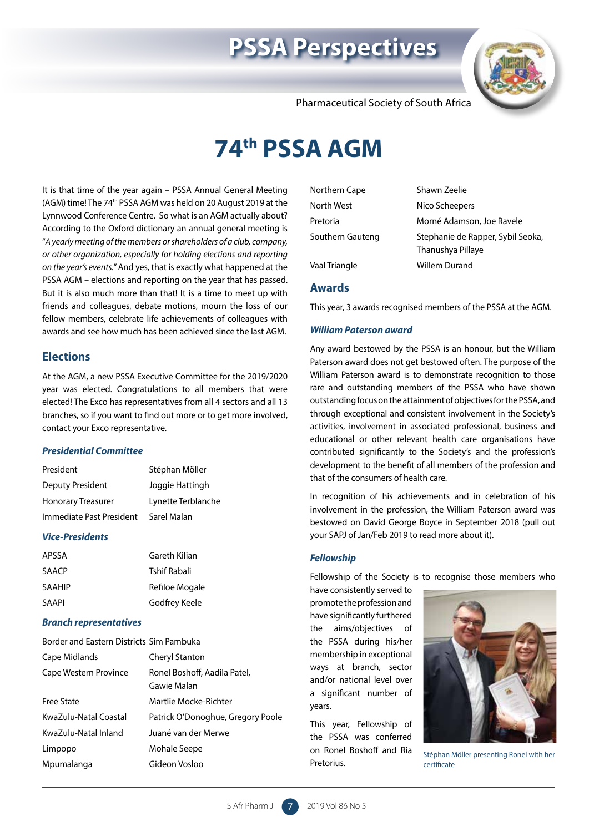# **PSSA Perspectives**



Pharmaceutical Society of South Africa

# **74th PSSA AGM**

It is that time of the year again – PSSA Annual General Meeting (AGM) time! The 74th PSSA AGM was held on 20 August 2019 at the Lynnwood Conference Centre. So what is an AGM actually about? According to the Oxford dictionary an annual general meeting is "*A yearly meeting of the members or shareholders of a club, company, or other organization, especially for holding elections and reporting on the year's events.*" And yes, that is exactly what happened at the PSSA AGM – elections and reporting on the year that has passed. But it is also much more than that! It is a time to meet up with friends and colleagues, debate motions, mourn the loss of our fellow members, celebrate life achievements of colleagues with awards and see how much has been achieved since the last AGM.

## **Elections**

At the AGM, a new PSSA Executive Committee for the 2019/2020 year was elected. Congratulations to all members that were elected! The Exco has representatives from all 4 sectors and all 13 branches, so if you want to find out more or to get more involved, contact your Exco representative.

## *Presidential Committee*

| President                 | Stéphan Möller     |
|---------------------------|--------------------|
| Deputy President          | Joggie Hattingh    |
| <b>Honorary Treasurer</b> | Lynette Terblanche |
| Immediate Past President  | Sarel Malan        |

## *Vice-Presidents*

| APSSA  | Gareth Kilian  |
|--------|----------------|
| SAACP  | Tshif Rabali   |
| SAAHIP | Refiloe Mogale |
| SAAPI  | Godfrey Keele  |

## *Branch representatives*

| Border and Fastern Districts Sim Pambuka |                                   |
|------------------------------------------|-----------------------------------|
| Cape Midlands                            | Cheryl Stanton                    |
| Cape Western Province                    | Ronel Boshoff, Aadila Patel,      |
|                                          | Gawie Malan                       |
| Free State                               | Martlie Mocke-Richter             |
| KwaZulu-Natal Coastal                    | Patrick O'Donoghue, Gregory Poole |
| KwaZulu-Natal Inland                     | Juané van der Merwe               |
| Limpopo                                  | Mohale Seepe                      |
| Mpumalanga                               | Gideon Vosloo                     |

| Northern Cape    | Shawn Zeelie                                           |
|------------------|--------------------------------------------------------|
| North West       | Nico Scheepers                                         |
| Pretoria         | Morné Adamson, Joe Ravele                              |
| Southern Gauteng | Stephanie de Rapper, Sybil Seoka,<br>Thanushya Pillaye |
| Vaal Triangle    | Willem Durand                                          |

## **Awards**

This year, 3 awards recognised members of the PSSA at the AGM.

## *William Paterson award*

Any award bestowed by the PSSA is an honour, but the William Paterson award does not get bestowed often. The purpose of the William Paterson award is to demonstrate recognition to those rare and outstanding members of the PSSA who have shown outstanding focus on the attainment of objectives for the PSSA, and through exceptional and consistent involvement in the Society's activities, involvement in associated professional, business and educational or other relevant health care organisations have contributed significantly to the Society's and the profession's development to the benefit of all members of the profession and that of the consumers of health care.

In recognition of his achievements and in celebration of his involvement in the profession, the William Paterson award was bestowed on David George Boyce in September 2018 (pull out your SAPJ of Jan/Feb 2019 to read more about it).

## *Fellowship*

Fellowship of the Society is to recognise those members who

have consistently served to promote the profession and have significantly furthered the aims/objectives of the PSSA during his/her membership in exceptional ways at branch, sector and/or national level over a significant number of years.

This year, Fellowship of the PSSA was conferred on Ronel Boshoff and Ria Pretorius.



Stéphan Möller presenting Ronel with her certificate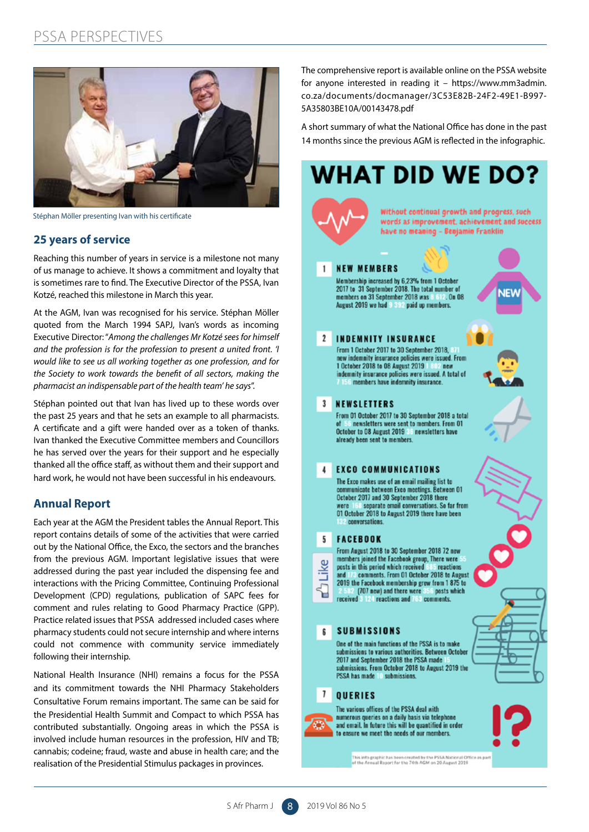# PSSA PERSPECTIVES



Stéphan Möller presenting Ivan with his certificate

# **25 years of service**

Reaching this number of years in service is a milestone not many of us manage to achieve. It shows a commitment and loyalty that is sometimes rare to find. The Executive Director of the PSSA, Ivan Kotzé, reached this milestone in March this year.

At the AGM, Ivan was recognised for his service. Stéphan Möller quoted from the March 1994 SAPJ, Ivan's words as incoming Executive Director: "*Among the challenges Mr Kotzé sees for himself and the profession is for the profession to present a united front. 'I would like to see us all working together as one profession, and for the Society to work towards the benefit of all sectors, making the pharmacist an indispensable part of the health team' he says*".

Stéphan pointed out that Ivan has lived up to these words over the past 25 years and that he sets an example to all pharmacists. A certificate and a gift were handed over as a token of thanks. Ivan thanked the Executive Committee members and Councillors he has served over the years for their support and he especially thanked all the office staff, as without them and their support and hard work, he would not have been successful in his endeavours.

# **Annual Report**

Each year at the AGM the President tables the Annual Report. This report contains details of some of the activities that were carried out by the National Office, the Exco, the sectors and the branches from the previous AGM. Important legislative issues that were addressed during the past year included the dispensing fee and interactions with the Pricing Committee, Continuing Professional Development (CPD) regulations, publication of SAPC fees for comment and rules relating to Good Pharmacy Practice (GPP). Practice related issues that PSSA addressed included cases where pharmacy students could not secure internship and where interns could not commence with community service immediately following their internship.

National Health Insurance (NHI) remains a focus for the PSSA and its commitment towards the NHI Pharmacy Stakeholders Consultative Forum remains important. The same can be said for the Presidential Health Summit and Compact to which PSSA has contributed substantially. Ongoing areas in which the PSSA is involved include human resources in the profession, HIV and TB; cannabis; codeine; fraud, waste and abuse in health care; and the realisation of the Presidential Stimulus packages in provinces.

The comprehensive report is available online on the PSSA website for anyone interested in reading it – https://www.mm3admin. co.za/documents/docmanager/3C53E82B-24F2-49E1-B997- 5A35803BE10A/00143478.pdf

A short summary of what the National Office has done in the past 14 months since the previous AGM is reflected in the infographic.

# **WHAT DID WE DO?**

Without continual growth and progress, such words as improvement, achievement and success have no meaning - Benjamin Franklin

#### $\mathbf{1}$ **NEW MEMBERS**

Membership increased by 6.23% from 1 October Membership increased by 0,2376 from 1 October<br>2017 to 31 September 2018. The total number of<br>members on 31 September 2018 was August 2019 we had 9 392 paid up members.

#### $\mathfrak{p}$ **INDEMNITY INSURANCE**

From 1 October 2017 to 30 September 2018. new indemnity insurance policies were issued. From 1 October 2018 to 08 August 2019 130 new indemnity insurance policies were issued. A total of members have indemnity insurance.

#### $\mathbf{3}$ **NEWSLETTERS**

From 01 October 2017 to 30 September 2018 a total In ewsletters were sent to members. From 01 October to 08 August 2019 St newsletters have already been sent to members.

#### **EXCO COMMUNICATIONS**  $\overline{4}$

The Exco makes use of an email mailing list to communicate between Exco meetings. Between 01 October 2017 and 30 September 2018 there senarate email conversations. So far from 01 October 2018 to August 2019 there have been 32 conversations.

#### **FACEBOOK** 5.

Я

From August 2018 to 30 September 2018 72 new members joined the Facebook group, There were Like posts in this period which received 885 reactions<br>and 100 comments. From 01 October 2018 to August 2019 the Facebook membership grew from 1875 to<br>2.582 (707 new) and there were 356 posts which 124 reactions and 763 comments. received

#### **SUBMISSIONS** 6

One of the main functions of the PSSA is to make submissions to various authorities. Between October 2017 and September 2018 the PSSA made submissions. From October 2018 to August 2019 the PSSA has made 10 submissions.

#### $\mathbf{7}$ **OUERIES**

The various offices of the PSSA deal with numerous queries on a daily basis via telephone<br>and email. In future this will be quantified in order to ensure we meet the needs of our members.

.<br>This info graphic has been created by the PSSA National Office as par<br>of the Annual Report for the 74th AGM on 20 August 2019



**NEW** 



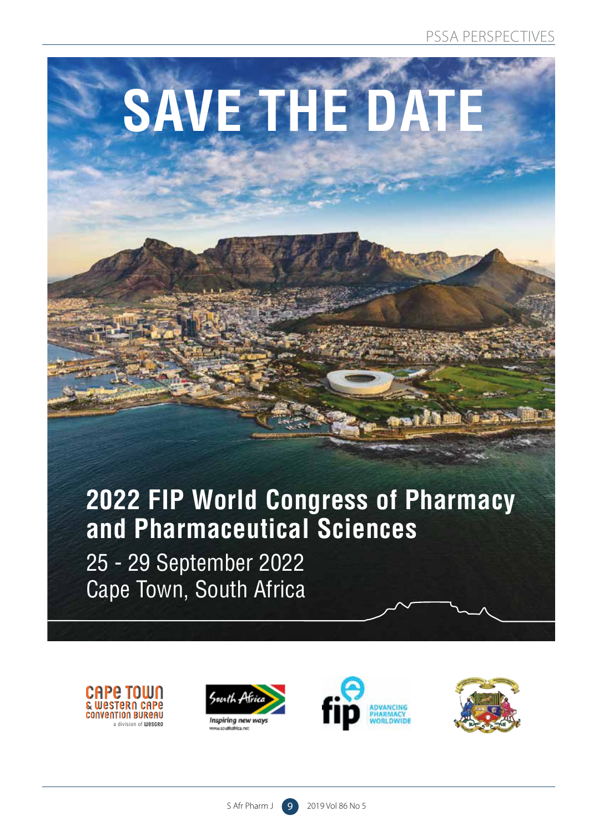# **SAVE THE DATE**

# **2022 FIP World Congress of Pharmacy and Pharmaceutical Sciences**

25 - 29 September 2022 Cape Town, South Africa









2928 Pharmaceutical Society flyer 2022 .indd 1 2019/09/10 3:18 PM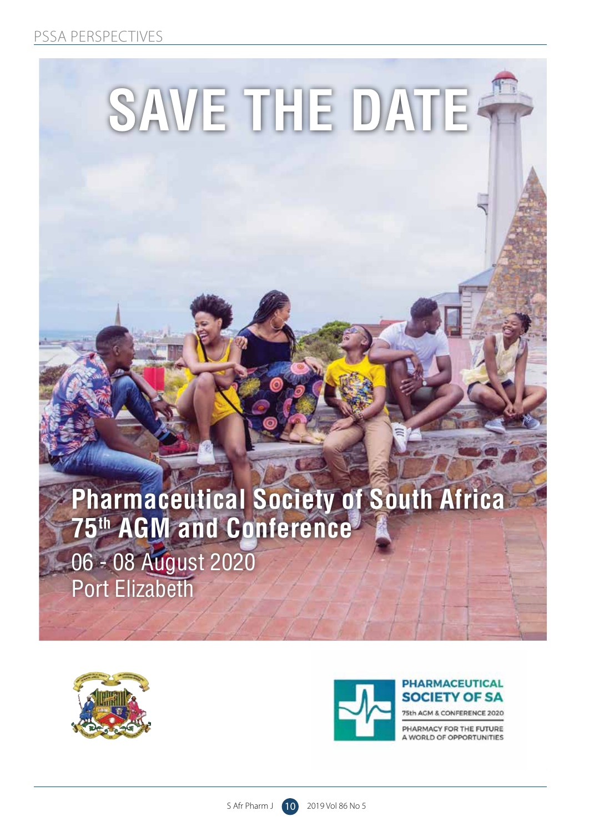# PSSA PERSPECTIVES

# **SAVE THE DATE**

# **Pharmaceutical Society of South Africa 75th AGM and Conference**

06 - 08 August 2020 Port Elizabeth





# **PHARMACEUTICAL SOCIETY OF SA**

5th ACM & CONFERENCE 2020

PHARMACY FOR THE FUTURE A WORLD OF OPPORTUNITIES

2928 Pharmaceutical Society flyer 2022 .indd 2 2019/09/10 3:18 PM